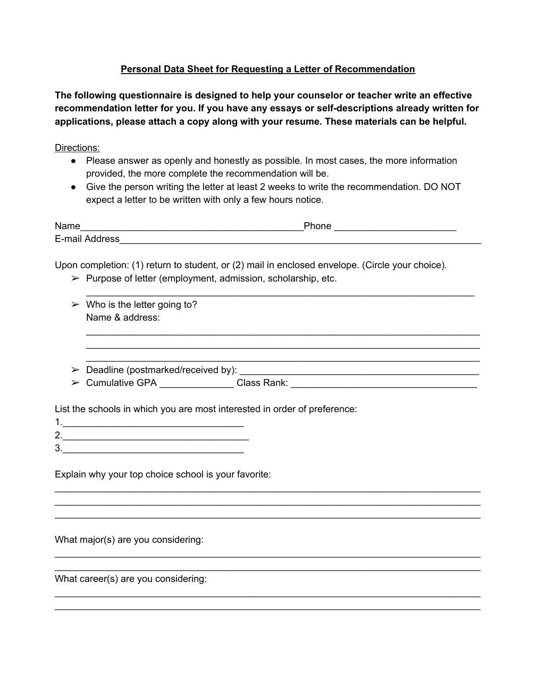## **Personal Data Sheet for Requesting a Letter of Recommendation**

**The following questionnaire is designed to help your counselor or teacher write an effective recommendation letter for you. If you have any essays or selfdescriptions already written for applications, please attach a copy along with your resume. These materials can be helpful.**

Directions:

- Please answer as openly and honestly as possible. In most cases, the more information provided, the more complete the recommendation will be.
- Give the person writing the letter at least 2 weeks to write the recommendation. DO NOT expect a letter to be written with only a few hours notice.

| Name           | Phone |  |
|----------------|-------|--|
| E-mail Address |       |  |

Upon completion: (1) return to student, or (2) mail in enclosed envelope. (Circle your choice).

 $\triangleright$  Purpose of letter (employment, admission, scholarship, etc.

|   | $\triangleright$ Who is the letter going to?                                     |  |  |
|---|----------------------------------------------------------------------------------|--|--|
|   | Name & address:                                                                  |  |  |
|   |                                                                                  |  |  |
|   |                                                                                  |  |  |
|   |                                                                                  |  |  |
| ➤ |                                                                                  |  |  |
|   | > Cumulative GPA ________________Class Rank: ___________________________________ |  |  |
|   |                                                                                  |  |  |
|   | List the schools in which you are most interested in order of preference:        |  |  |
|   |                                                                                  |  |  |
|   |                                                                                  |  |  |
|   |                                                                                  |  |  |
|   |                                                                                  |  |  |
|   | Explain why your top choice school is your favorite:                             |  |  |
|   |                                                                                  |  |  |
|   |                                                                                  |  |  |
|   |                                                                                  |  |  |
|   |                                                                                  |  |  |
|   | What major(s) are you considering:                                               |  |  |
|   |                                                                                  |  |  |
|   |                                                                                  |  |  |

\_\_\_\_\_\_\_\_\_\_\_\_\_\_\_\_\_\_\_\_\_\_\_\_\_\_\_\_\_\_\_\_\_\_\_\_\_\_\_\_\_\_\_\_\_\_\_\_\_\_\_\_\_\_\_\_\_\_\_\_\_\_\_\_\_\_\_\_\_\_\_\_\_\_\_\_\_\_\_\_ \_\_\_\_\_\_\_\_\_\_\_\_\_\_\_\_\_\_\_\_\_\_\_\_\_\_\_\_\_\_\_\_\_\_\_\_\_\_\_\_\_\_\_\_\_\_\_\_\_\_\_\_\_\_\_\_\_\_\_\_\_\_\_\_\_\_\_\_\_\_\_\_\_\_\_\_\_\_\_\_

What career(s) are you considering: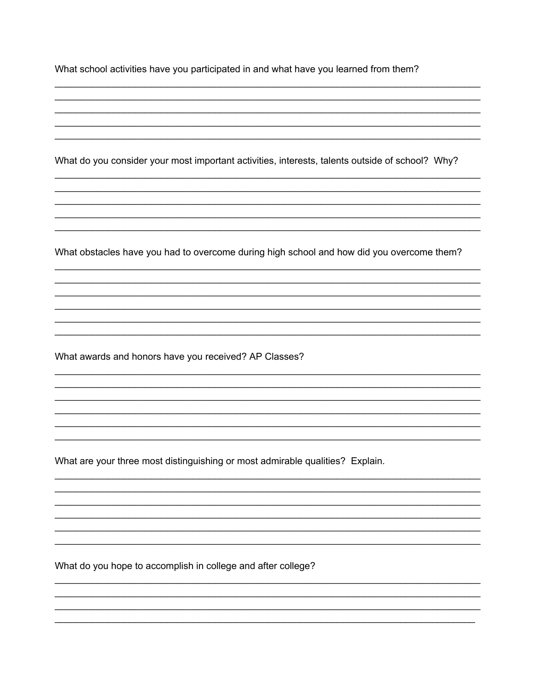What do you consider your most important activities, interests, talents outside of school? Why?

What obstacles have you had to overcome during high school and how did you overcome them?

What awards and honors have you received? AP Classes?

What are your three most distinguishing or most admirable qualities? Explain.

What do you hope to accomplish in college and after college?